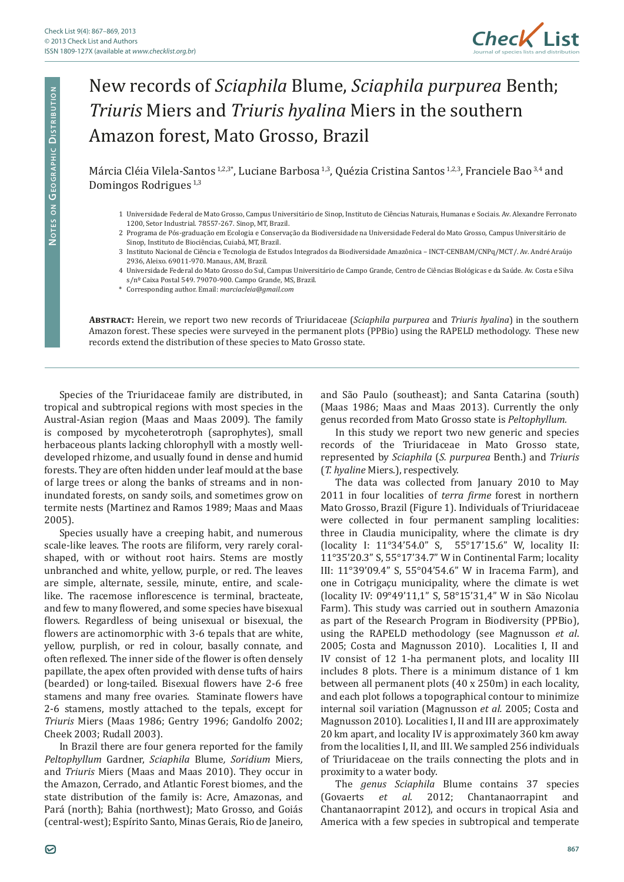

## New records of *Sciaphila* Blume, *Sciaphila purpurea* Benth; *Triuris* Miers and *Triuris hyalina* Miers in the southern Amazon forest, Mato Grosso, Brazil

Márcia Cléia Vilela-Santos<sup>1,2,3\*</sup>, Luciane Barbosa<sup>1,3</sup>, Quézia Cristina Santos<sup>1,2,3</sup>, Franciele Bao<sup>3,4</sup> and Domingos Rodrigues 1,3

- 1 Universidade Federal de Mato Grosso, Campus Universitário de Sinop, Instituto de Ciências Naturais, Humanas e Sociais. Av. Alexandre Ferronato 1200, Setor Industrial. 78557-267. Sinop, MT, Brazil.
- 2 Programa de Pós-graduação em Ecologia e Conservação da Biodiversidade na Universidade Federal do Mato Grosso, Campus Universitário de Sinop, Instituto de Biociências, Cuiabá, MT, Brazil.
- 3 Instituto Nacional de Ciência e Tecnologia de Estudos Integrados da Biodiversidade Amazônica INCT-CENBAM/CNPq/MCT/. Av. André Araújo 2936, Aleixo. 69011-970. Manaus, AM, Brazil.
- 4 Universidade Federal do Mato Grosso do Sul, Campus Universitário de Campo Grande, Centro de Ciências Biológicas e da Saúde. Av. Costa e Silva s/nº Caixa Postal 549. 79070-900. Campo Grande, MS, Brazil.
- \* Corresponding author. Email: *marciacleia@gmail.com*

**Abstract:** Herein, we report two new records of Triuridaceae (*Sciaphila purpurea* and *Triuris hyalina*) in the southern Amazon forest. These species were surveyed in the permanent plots (PPBio) using the RAPELD methodology. These new records extend the distribution of these species to Mato Grosso state.

Species of the Triuridaceae family are distributed, in tropical and subtropical regions with most species in the Austral-Asian region (Maas and Maas 2009). The family is composed by mycoheterotroph (saprophytes), small herbaceous plants lacking chlorophyll with a mostly welldeveloped rhizome, and usually found in dense and humid forests. They are often hidden under leaf mould at the base of large trees or along the banks of streams and in noninundated forests, on sandy soils, and sometimes grow on termite nests (Martinez and Ramos 1989; Maas and Maas 2005).

Species usually have a creeping habit, and numerous scale-like leaves. The roots are filiform, very rarely coralshaped, with or without root hairs. Stems are mostly unbranched and white, yellow, purple, or red. The leaves are simple, alternate, sessile, minute, entire, and scalelike. The racemose inflorescence is terminal, bracteate, and few to many flowered, and some species have bisexual flowers. Regardless of being unisexual or bisexual, the flowers are actinomorphic with 3-6 tepals that are white, yellow, purplish, or red in colour, basally connate, and often reflexed. The inner side of the flower is often densely papillate, the apex often provided with dense tufts of hairs (bearded) or long-tailed. Bisexual flowers have 2-6 free stamens and many free ovaries. Staminate flowers have 2-6 stamens, mostly attached to the tepals, except for *Triuris* Miers (Maas 1986; Gentry 1996; Gandolfo 2002; Cheek 2003; Rudall 2003).

In Brazil there are four genera reported for the family *Peltophyllum* Gardner, *Sciaphila* Blume*, Soridium* Miers*,*  and *Triuris* Miers (Maas and Maas 2010). They occur in the Amazon, Cerrado, and Atlantic Forest biomes, and the state distribution of the family is: Acre, Amazonas, and Pará (north); Bahia (northwest); Mato Grosso, and Goiás (central-west); Espírito Santo, Minas Gerais, Rio de Janeiro, and São Paulo (southeast); and Santa Catarina (south) (Maas 1986; Maas and Maas 2013). Currently the only genus recorded from Mato Grosso state is *Peltophyllum.*

In this study we report two new generic and species records of the Triuridaceae in Mato Grosso state, represented by *Sciaphila* (*S. purpurea* Benth.) and *Triuris*  (*T. hyaline* Miers.), respectively.

The data was collected from January 2010 to May 2011 in four localities of *terra firme* forest in northern Mato Grosso, Brazil (Figure 1). Individuals of Triuridaceae were collected in four permanent sampling localities: three in Claudia municipality, where the climate is dry (locality I: 11°34'54.0" S, 55°17'15.6" W, locality II: 11°35'20.3" S, 55°17'34.7" W in Continental Farm; locality III: 11°39'09.4" S, 55°04'54.6" W in Iracema Farm), and one in Cotrigaçu municipality, where the climate is wet (locality IV: 09°49'11,1" S, 58°15'31,4" W in São Nicolau Farm). This study was carried out in southern Amazonia as part of the Research Program in Biodiversity (PPBio), using the RAPELD methodology (see Magnusson *et al*. 2005; Costa and Magnusson 2010). Localities I, II and IV consist of 12 1-ha permanent plots, and locality III includes 8 plots. There is a minimum distance of 1 km between all permanent plots (40 x 250m) in each locality, and each plot follows a topographical contour to minimize internal soil variation (Magnusson *et al.* 2005; Costa and Magnusson 2010). Localities I, II and III are approximately 20 km apart, and locality IV is approximately 360 km away from the localities I, II, and III. We sampled 256 individuals of Triuridaceae on the trails connecting the plots and in proximity to a water body.

The *genus Sciaphila* Blume contains 37 species<br>(Govaerts et al. 2012; Chantanaorrapint and 2012; Chantanaorrapint Chantanaorrapint 2012), and occurs in tropical Asia and America with a few species in subtropical and temperate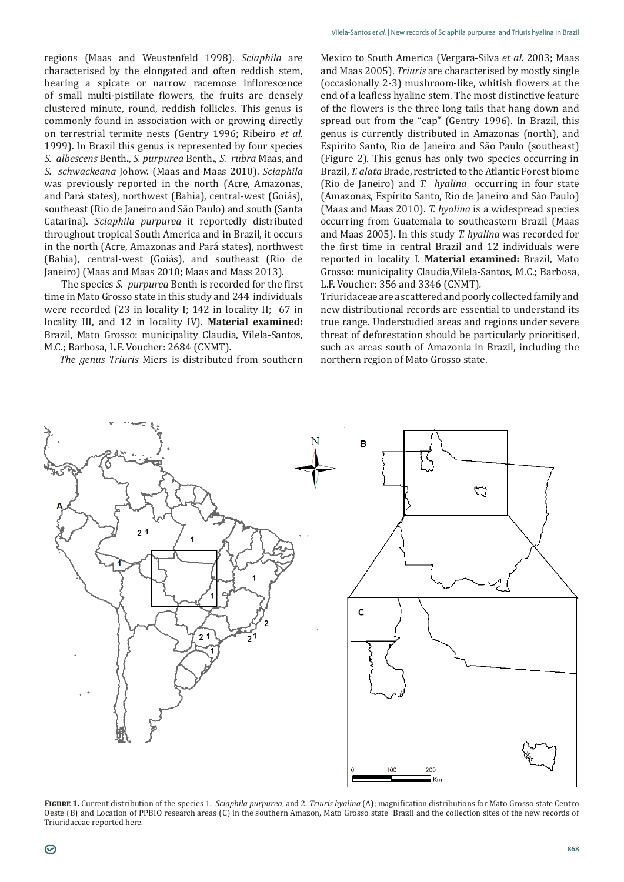regions (Maas and Weustenfeld 1998). *Sciaphila* are characterised by the elongated and often reddish stem, bearing a spicate or narrow racemose inflorescence of small multi-pistillate flowers, the fruits are densely clustered minute, round, reddish follicles. This genus is commonly found in association with or growing directly on terrestrial termite nests (Gentry 1996; Ribeiro *et al*. 1999). In Brazil this genus is represented by four species *S. albescens* Benth**.**, *S. purpurea* Benth**.**, *S. rubra* Maas, and *S. schwackeana* Johow. (Maas and Maas 2010). *Sciaphila* was previously reported in the north (Acre, Amazonas, and Pará states), northwest (Bahia), central-west (Goiás), southeast (Rio de Janeiro and São Paulo) and south (Santa Catarina). *Sciaphila purpurea* it reportedly distributed throughout tropical South America and in Brazil, it occurs in the north (Acre, Amazonas and Pará states), northwest (Bahia), central-west (Goiás), and southeast (Rio de Janeiro) (Maas and Maas 2010; Maas and Mass 2013).

 The species *S. purpurea* Benth is recorded for the first time in Mato Grosso state in this study and 244 individuals were recorded (23 in locality I; 142 in locality II; 67 in locality III, and 12 in locality IV). **Material examined:** Brazil, Mato Grosso: municipality Claudia, Vilela-Santos, M.C.; Barbosa, L.F. Voucher: 2684 (CNMT)*.*

*The genus Triuris* Miers is distributed from southern

Mexico to South America (Vergara-Silva *et al*. 2003; Maas and Maas 2005). *Triuris* are characterised by mostly single (occasionally 2-3) mushroom-like, whitish flowers at the end of a leafless hyaline stem. The most distinctive feature of the flowers is the three long tails that hang down and spread out from the "cap" (Gentry 1996). In Brazil, this genus is currently distributed in Amazonas (north), and Espirito Santo, Rio de Janeiro and São Paulo (southeast) (Figure 2). This genus has only two species occurring in Brazil, *T. alata* Brade, restricted to the Atlantic Forest biome (Rio de Janeiro) and *T. hyalina* occurring in four state (Amazonas, Espírito Santo, Rio de Janeiro and São Paulo) (Maas and Maas 2010). *T. hyalina* is a widespread species occurring from Guatemala to southeastern Brazil (Maas and Maas 2005). In this study *T. hyalina* was recorded for the first time in central Brazil and 12 individuals were reported in locality I. **Material examined:** Brazil, Mato Grosso: municipality Claudia,Vilela-Santos, M.C.; Barbosa, L.F. Voucher: 356 and 3346 (CNMT)*.*

Triuridaceae are a scattered and poorly collected family and new distributional records are essential to understand its true range. Understudied areas and regions under severe threat of deforestation should be particularly prioritised, such as areas south of Amazonia in Brazil, including the northern region of Mato Grosso state.



**Figure 1.** Current distribution of the species 1. *Sciaphila purpurea*, and 2. *Triuris hyalina* (A); magnification distributions for Mato Grosso state Centro Oeste (B) and Location of PPBIO research areas (C) in the southern Amazon, Mato Grosso state Brazil and the collection sites of the new records of Triuridaceae reported here.